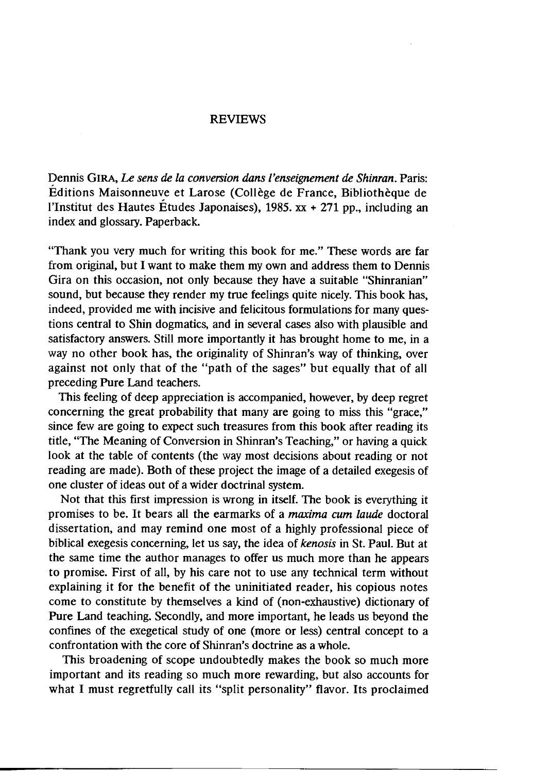## REVIEWS

Dennis Gira, *Le sens de la conversion dans Venseignement de Shinran,* Paris: Editions Maisonneuve et Larose (College de France, Bibliotheque de l'Institut des Hautes Etudes Japonaises), 1985.  $xx + 271$  pp., including an index and glossary. Paperback.

"Thank you very much for writing this book for me." These words are far from original, but I want to make them my own and address them to Dennis Gira on this occasion, not only because they have a suitable "Shinranian" sound, but because they render my true feelings quite nicely. This book has, indeed, provided me with incisive and felicitous formulations for many questions central to Shin dogmatics, and in several cases also with plausible and satisfactory answers. Still more importantly it has brought home to me, in a way no other book has, the originality of Shinran's way of thinking, over against not only that of the "path of the sages" but equally that of all preceding Pure Land teachers.

This feeling of deep appreciation is accompanied, however, by deep regret concerning the great probability that many are going to miss this "grace," since few are going to expect such treasures from this book after reading its title, "The Meaning of Conversion in Shinran's Teaching," or having a quick look at the table of contents (the way most decisions about reading or not reading are made). Both of these project the image of a detailed exegesis of one cluster of ideas out of a wider doctrinal system.

Not that this first impression is wrong in itself. The book is everything it promises to be. It bears all the earmarks of a *maxima cum laude* doctoral dissertation, and may remind one most of a highly professional piece of biblical exegesis concerning, let us say, the idea of *kenosis* in St. Paul. But at the same time the author manages to offer us much more than he appears to promise. First of all, by his care not to use any technical term without explaining it for the benefit of the uninitiated reader, his copious notes come to constitute by themselves a kind of (non-exhaustive) dictionary of Pure Land teaching. Secondly, and more important, he leads us beyond the confines of the exegetical study of one (more or less) central concept to a confrontation with the core of Shinran's doctrine as a whole.

This broadening of scope undoubtedly makes the book so much more important and its reading so much more rewarding, but also accounts for what I must regretfully call its "split personality" flavor. Its proclaimed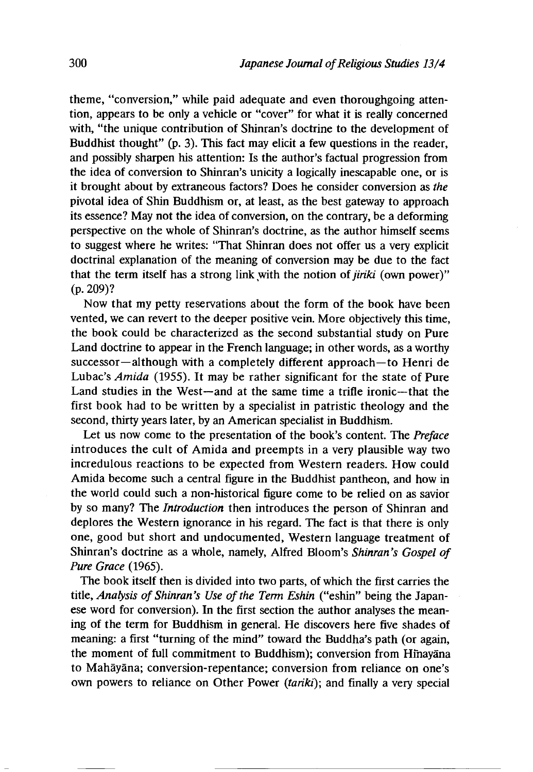theme, "conversion," while paid adequate and even thoroughgoing attention, appears to be only a vehicle or "cover" for what it is really concerned with, "the unique contribution of Shinran's doctrine to the development of Buddhist thought" (p. 3). This fact may elicit a few questions in the reader, and possibly sharpen his attention: Is the author's factual progression from the idea of conversion to Shinran's unicity a logically inescapable one, or is it brought about by extraneous factors? Does he consider conversion as *the* pivotal idea of Shin Buddhism or, at least, as the best gateway to approach its essence? May not the idea of conversion, on the contrary, be a deforming perspective on the whole of Shinran's doctrine, as the author himself seems to suggest where he writes: "That Shinran does not offer us a very explicit doctrinal explanation of the meaning of conversion may be due to the fact that the term itself has a strong link with the notion of *jirifa* (own power)"  $(p. 209)$ ?

Now that my petty reservations about the form of the book have been vented, we can revert to the deeper positive vein. More objectively this time, the book could be characterized as the second substantial study on Pure Land doctrine to appear in the French language; in other words, as a worthy successor—although with a completely different approach—to Henri de Lubac's *Amida* (1955). It may be rather significant for the state of Pure Land studies in the West—and at the same time a trifle ironic—that the first book had to be written by a specialist in patristic theology and the second, thirty years later, by an American specialist in Buddhism.

Let us now come to the presentation of the book's content. The *Preface* introduces the cult of Amida and preempts in a very plausible way two incredulous reactions to be expected from Western readers. How could Amida become such a central figure in the Buddhist pantheon, and how in the world could such a non-historical figure come to be relied on as savior by so many? The *Introduction* then introduces the person of Shinran and deplores the Western ignorance in his regard. The fact is that there is only one, good but short and undocumented, Western language treatment of Shinran's doctrine as a whole, namely, Alfred Bloom's *Shinran's Gospel of Pure Grace* (1965).

The book itself then is divided into two parts, of which the first carries the title, *Analysis of Shinran's Use of the Term Eshin* ("eshin" being the Japanese word for conversion). In the first section the author analyses the meaning of the term for Buddhism in general. He discovers here five shades of meaning: a first "turning of the mind" toward the Buddha's path (or again, the moment of full commitment to Buddhism); conversion from Hfnayana to Mahayana; conversion-repentance; conversion from reliance on one's own powers to reliance on Other Power *(tariki);* and finally a very special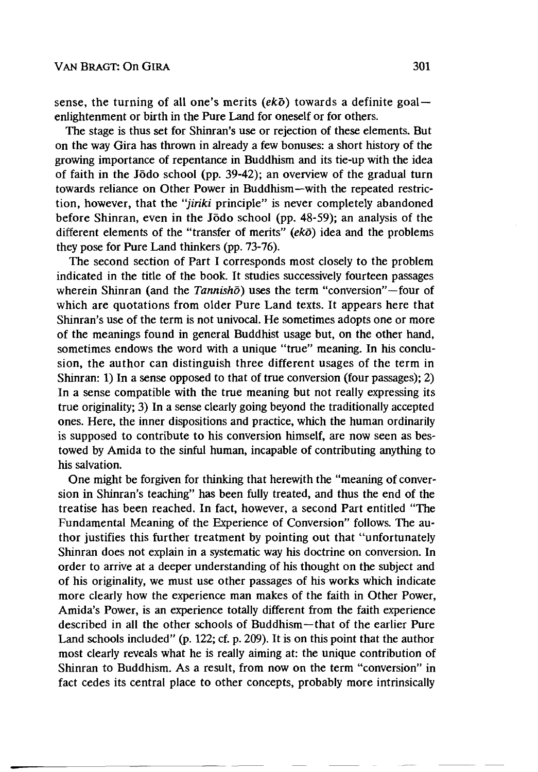sense, the turning of all one's merits  $(ek\bar{o})$  towards a definite goalenlightenment or birth in the Pure Land for oneself or for others.

The stage is thus set for Shinran's use or rejection of these elements. But on the way Gira has thrown in already a few bonuses: a short history of the growing importance of repentance in Buddhism and its tie-up with the idea of faith in the Jodo school (pp. 39-42); an overview of the gradual turn towards reliance on Other Power in Buddhism—with the repeated restriction, however, that the *"jiriki* principle" is never completely abandoned before Shinran, even in the Jodo school (pp. 48-59); an analysis of the different elements of the "transfer of merits" *(eko)* idea and the problems they pose for Pure Land thinkers (pp. 73-76).

The second section of Part I corresponds most closely to the problem indicated in the title of the book. It studies successively fourteen passages wherein Shinran (and the *Tannisho*) uses the term "conversion"—four of which are quotations from older Pure Land texts. It appears here that Shinran's use of the term is not univocal. He sometimes adopts one or more of the meanings found in general Buddhist usage but, on the other hand, sometimes endows the word with a unique "true" meaning. In his conclusion, the author can distinguish three different usages of the term in Shinran: 1) In a sense opposed to that of true conversion (four passages): 2) In a sense compatible with the true meaning but not really expressing its true originality; 3) In a sense clearly going beyond the traditionally accepted ones. Here, the inner dispositions and practice, which the human ordinarily is supposed to contribute to his conversion himself, are now seen as bestowed by Amida to the sinful human, incapable of contributing anything to his salvation.

One might be forgiven for thinking that herewith the "meaning of conversion in Shinran's teaching" has been fully treated, and thus the end of the treatise has been reached. In fact, however, a second Part entitled "The Fundamental Meaning of the Experience of Conversion" follows. The author justifies this further treatment by pointing out that "unfortunately Shinran does not explain in a systematic way his doctrine on conversion. In order to arrive at a deeper understanding of his thought on the subject and of his originality, we must use other passages of his works which indicate more dearly how the experience man makes of the faith in Other Power, Amida's Power, is an experience totally different from the faith experience described in all the other schools of Buddhism—that of the earlier Pure Land schools included" (p. 122; cf. p. 209). It is on this point that the author most clearly reveals what he is really aiming at: the unique contribution of Shinran to Buddhism. As a result, from now on the term "conversion" in fact cedes its central place to other concepts, probably more intrinsically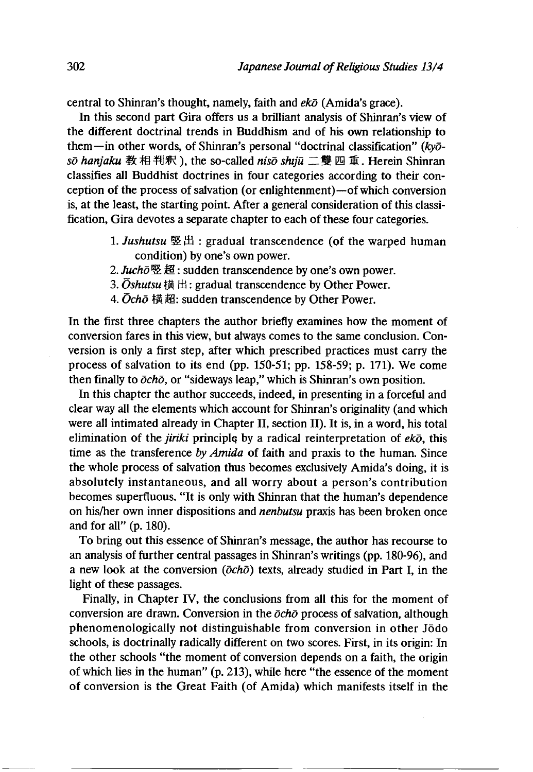central to Shinran's thought, namely, faith and *eko* (Amida's grace).

In this second part Gira offers us a brilliant analysis of Shinran's view of the different doctrinal trends in Buddhism and of his own relationship to them—in other words, of Shinran's personal "doctrinal classification" *{kydsd hanjaku* 教 相 判 釈),the so-called *niso shiju* ニ雙四重. Herein Shinran classifies all Buddhist doctrines in four categories according to their conception of the process of salvation (or enlightenment)—of which conversion is, at the least, the starting point After a general consideration of this classification, Gira devotes a separate chapter to each of these four categories.

- 1. Jushutsu 竪出: gradual transcendence (of the warped human condition) by one's own power.
- 2. *Juchō* 竪 超 : sudden transcendence by one's own power.
- 3. *Oshutsu*横出:gradual transcendence by Other Power.
- 4.  $\overline{O}$ *ch* $\overline{o}$  横超: sudden transcendence by Other Power.

In the first three chapters the author briefly examines how the moment of conversion fares in this view, but always comes to the same conclusion. Conversion is only a first step, after which prescribed practices must carry the process of salvation to its end (pp. 150-51; pp. 158-59; p. 171). We come then finally to  $\bar{o}ch\bar{o}$ , or "sideways leap," which is Shinran's own position.

In this chapter the author succeeds, indeed, in presenting in a forceful and clear way all the elements which account for Shinran's originality (and which were all intimated already in Chapter II, section II). It is, in a word, his total elimination of the *jiriki* principle by a radical reinterpretation of *eko,* this time as the transference *by Amida* of faith and praxis to the human. Since the whole process of salvation thus becomes exclusively Amida's doing, it is absolutely instantaneous, and all worry about a person's contribution becomes superfluous. "It is only with Shinran that the human's dependence on his/her own inner dispositions and *nenbutsu* praxis has been broken once and for all" (p. 180).

To bring out this essence of Shinran's message, the author has recourse to an analysis of further central passages in Shinran's writings (pp. 180-96), and a new look at the conversion  $(\bar{o}ch\bar{o})$  texts, already studied in Part I, in the light of these passages.

Finally, in Chapter IV, the conclusions from all this for the moment of conversion are drawn. Conversion in the *ocho* process of salvation, although phenomenologically not distinguishable from conversion in other Jodo schools, is doctrinally radically different on two scores. First, in its origin: In the other schools "the moment of conversion depends on a faith, the origin of which lies in the human" (p. 213), while here "the essence of the moment of conversion is the Great Faith (of Amida) which manifests itself in the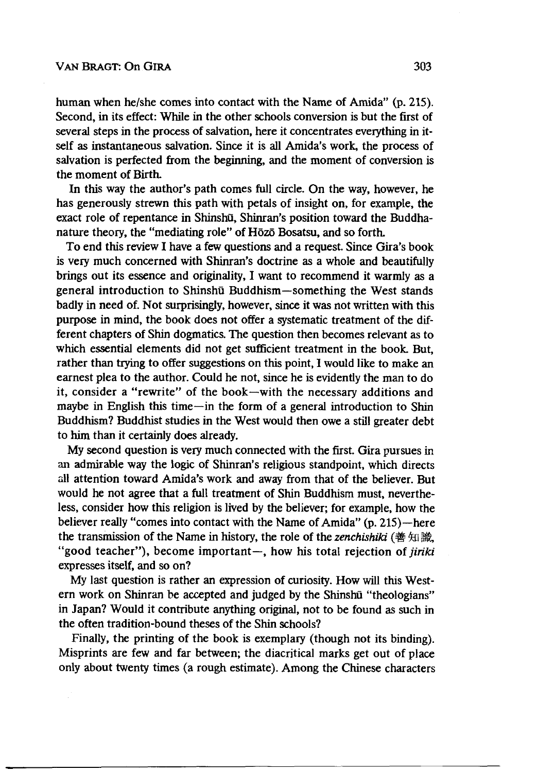human when he/she comes into contact with the Name of Amida" (p. 215). Second, in its effect: While in the other schools conversion is but the first of several steps in the process of salvation, here it concentrates everything in itself as instantaneous salvation. Since it is all Amida's work, the process of salvation is perfected from the beginning, and the moment of conversion is the moment of Birth.

In this way the author's path comes full circle. On the way, however, he has generously strewn this path with petals of insight on, for example, the exact role of repentance in Shinshū, Shinran's position toward the Buddhanature theory, the "mediating role" of Hozo Bosatsu, and so forth.

To end this review I have a few questions and a request. Since Gira's book is very much concerned with Shinran's doctrine as a whole and beautifully brings out its essence and originality, I want to recommend it warmly as a general introduction to Shinshū Buddhism—something the West stands badly in need of. Not surprisingly, however, since it was not written with this purpose in mind, the book does not offer a systematic treatment of the different chapters of Shin dogmatics. The question then becomes relevant as to which essential elements did not get sufficient treatment in the book. But, rather than trying to offer suggestions on this point, I would like to make an earnest plea to the author. Could he not, since he is evidently the man to do it, consider a "rewrite" of the book—with the necessary additions and maybe in English this time—in the form of a general introduction to Shin Buddhism? Buddhist studies in the West would then owe a still greater debt to him than it certainly does already.

My second question is very much connected with the first. Gira pursues in an admirable way the logic of Shinran's religious standpoint, which directs all attention toward Amida's work and away from that of the believer. But would he not agree that a full treatment of Shin Buddhism must, nevertheless, consider how this religion is lived by the believer; for example, how the believer really "comes into contact with the Name of Amida" (p. 215)—here the transmission of the Name in history, the role of the *zenchishifd* (善知識, "good teacher"), become important-, how his total rejection of *jiriki* expresses itself, and so on?

My last question is rather an expression of curiosity. How will this Western work on Shinran be accepted and judged by the Shinshu "theologians" in Japan? Would it contribute anything original, not to be found as such in the often tradition-bound theses of the Shin schools?

Finally, the printing of the book is exemplary (though not its binding). Misprints are few and far between; the diacritical marks get out of place only about twenty times (a rough estimate). Among the Chinese characters